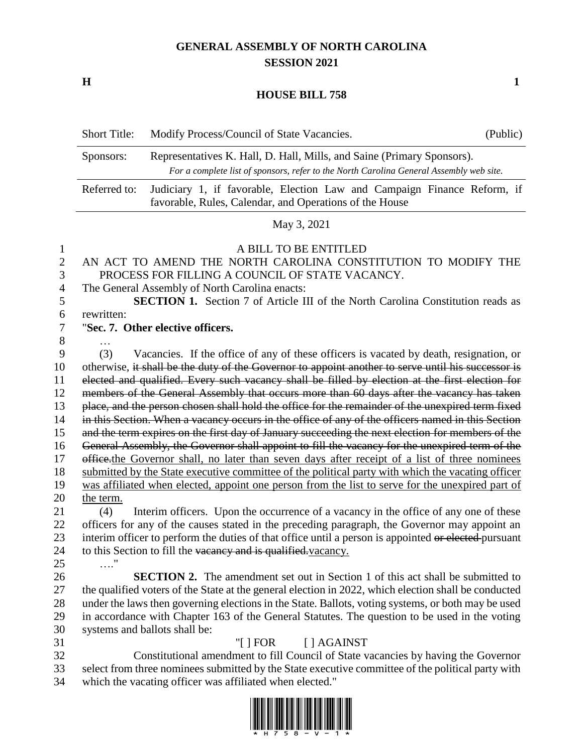## **GENERAL ASSEMBLY OF NORTH CAROLINA SESSION 2021**

**H 1**

## **HOUSE BILL 758**

|                                                                                                   | <b>Short Title:</b>                                                                                                                                                                                                                                                                                                                                                                                                                                                                                                                                                                                                                                                                                                                                                                                                                                                                                                                                                                                                                                                                                                                                                                                                                                                                                                                                                                                                                                                                                                 | Modify Process/Council of State Vacancies.                                                                                                                                                                                                                                                                                                                                                                                             | (Public) |  |
|---------------------------------------------------------------------------------------------------|---------------------------------------------------------------------------------------------------------------------------------------------------------------------------------------------------------------------------------------------------------------------------------------------------------------------------------------------------------------------------------------------------------------------------------------------------------------------------------------------------------------------------------------------------------------------------------------------------------------------------------------------------------------------------------------------------------------------------------------------------------------------------------------------------------------------------------------------------------------------------------------------------------------------------------------------------------------------------------------------------------------------------------------------------------------------------------------------------------------------------------------------------------------------------------------------------------------------------------------------------------------------------------------------------------------------------------------------------------------------------------------------------------------------------------------------------------------------------------------------------------------------|----------------------------------------------------------------------------------------------------------------------------------------------------------------------------------------------------------------------------------------------------------------------------------------------------------------------------------------------------------------------------------------------------------------------------------------|----------|--|
|                                                                                                   | Representatives K. Hall, D. Hall, Mills, and Saine (Primary Sponsors).<br>Sponsors:<br>For a complete list of sponsors, refer to the North Carolina General Assembly web site.                                                                                                                                                                                                                                                                                                                                                                                                                                                                                                                                                                                                                                                                                                                                                                                                                                                                                                                                                                                                                                                                                                                                                                                                                                                                                                                                      |                                                                                                                                                                                                                                                                                                                                                                                                                                        |          |  |
|                                                                                                   | Referred to:                                                                                                                                                                                                                                                                                                                                                                                                                                                                                                                                                                                                                                                                                                                                                                                                                                                                                                                                                                                                                                                                                                                                                                                                                                                                                                                                                                                                                                                                                                        | Judiciary 1, if favorable, Election Law and Campaign Finance Reform, if<br>favorable, Rules, Calendar, and Operations of the House                                                                                                                                                                                                                                                                                                     |          |  |
|                                                                                                   |                                                                                                                                                                                                                                                                                                                                                                                                                                                                                                                                                                                                                                                                                                                                                                                                                                                                                                                                                                                                                                                                                                                                                                                                                                                                                                                                                                                                                                                                                                                     | May 3, 2021                                                                                                                                                                                                                                                                                                                                                                                                                            |          |  |
| 1<br>$\overline{c}$<br>3<br>$\overline{4}$<br>5<br>6<br>7                                         | A BILL TO BE ENTITLED<br>AN ACT TO AMEND THE NORTH CAROLINA CONSTITUTION TO MODIFY THE<br>PROCESS FOR FILLING A COUNCIL OF STATE VACANCY.<br>The General Assembly of North Carolina enacts:<br><b>SECTION 1.</b> Section 7 of Article III of the North Carolina Constitution reads as<br>rewritten:<br>"Sec. 7. Other elective officers.                                                                                                                                                                                                                                                                                                                                                                                                                                                                                                                                                                                                                                                                                                                                                                                                                                                                                                                                                                                                                                                                                                                                                                            |                                                                                                                                                                                                                                                                                                                                                                                                                                        |          |  |
| 8                                                                                                 |                                                                                                                                                                                                                                                                                                                                                                                                                                                                                                                                                                                                                                                                                                                                                                                                                                                                                                                                                                                                                                                                                                                                                                                                                                                                                                                                                                                                                                                                                                                     |                                                                                                                                                                                                                                                                                                                                                                                                                                        |          |  |
| 9<br>10<br>11<br>12<br>13<br>14<br>15<br>16<br>17<br>18<br>19<br>20<br>21<br>22<br>23<br>24<br>25 | Vacancies. If the office of any of these officers is vacated by death, resignation, or<br>(3)<br>otherwise, it shall be the duty of the Governor to appoint another to serve until his successor is<br>elected and qualified. Every such vacancy shall be filled by election at the first election for<br>members of the General Assembly that occurs more than 60 days after the vacancy has taken<br>place, and the person chosen shall hold the office for the remainder of the unexpired term fixed<br>in this Section. When a vacancy occurs in the office of any of the officers named in this Section<br>and the term expires on the first day of January succeeding the next election for members of the<br>General Assembly, the Governor shall appoint to fill the vacancy for the unexpired term of the<br>effice the Governor shall, no later than seven days after receipt of a list of three nominees<br>submitted by the State executive committee of the political party with which the vacating officer<br>was affiliated when elected, appoint one person from the list to serve for the unexpired part of<br>the term.<br>Interim officers. Upon the occurrence of a vacancy in the office of any one of these<br>(4)<br>officers for any of the causes stated in the preceding paragraph, the Governor may appoint an<br>interim officer to perform the duties of that office until a person is appointed or elected-pursuant<br>to this Section to fill the vacancy and is qualified. vacancy. |                                                                                                                                                                                                                                                                                                                                                                                                                                        |          |  |
| 26<br>27<br>28<br>29<br>30                                                                        | $\ldots$ "                                                                                                                                                                                                                                                                                                                                                                                                                                                                                                                                                                                                                                                                                                                                                                                                                                                                                                                                                                                                                                                                                                                                                                                                                                                                                                                                                                                                                                                                                                          | <b>SECTION 2.</b> The amendment set out in Section 1 of this act shall be submitted to<br>the qualified voters of the State at the general election in 2022, which election shall be conducted<br>under the laws then governing elections in the State. Ballots, voting systems, or both may be used<br>in accordance with Chapter 163 of the General Statutes. The question to be used in the voting<br>systems and ballots shall be: |          |  |
| 31<br>32<br>33<br>34                                                                              |                                                                                                                                                                                                                                                                                                                                                                                                                                                                                                                                                                                                                                                                                                                                                                                                                                                                                                                                                                                                                                                                                                                                                                                                                                                                                                                                                                                                                                                                                                                     | "[ $ $ FOR]<br>[ ] AGAINST<br>Constitutional amendment to fill Council of State vacancies by having the Governor<br>select from three nominees submitted by the State executive committee of the political party with<br>which the vacating officer was affiliated when elected."                                                                                                                                                      |          |  |